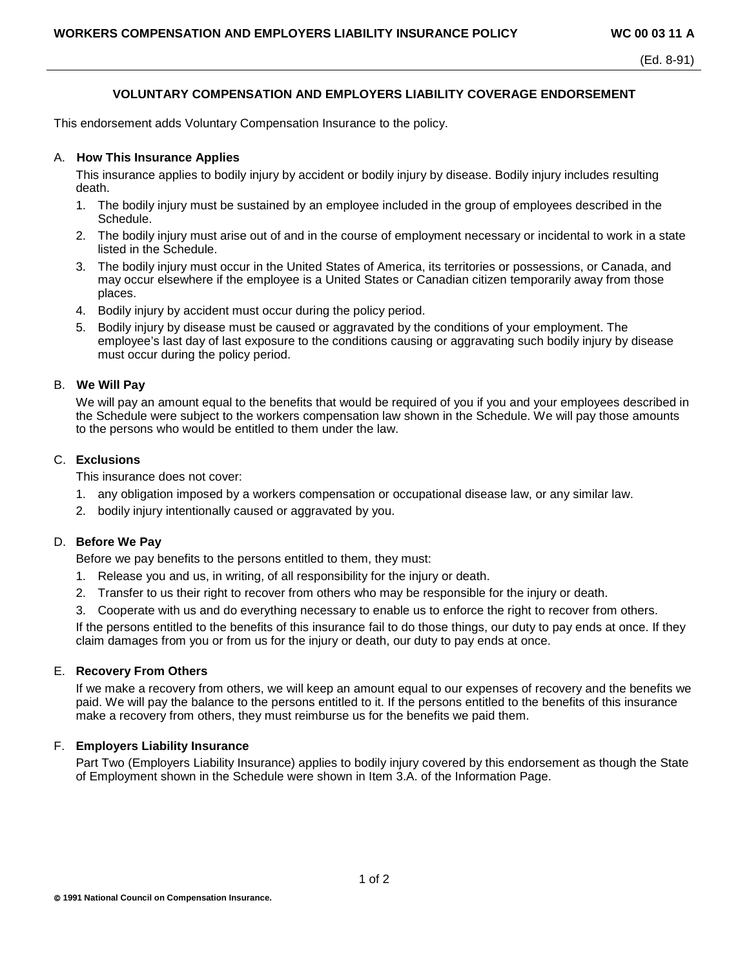# **VOLUNTARY COMPENSATION AND EMPLOYERS LIABILITY COVERAGE ENDORSEMENT**

This endorsement adds Voluntary Compensation Insurance to the policy.

## A. **How This Insurance Applies**

This insurance applies to bodily injury by accident or bodily injury by disease. Bodily injury includes resulting death.

- 1. The bodily injury must be sustained by an employee included in the group of employees described in the Schedule.
- 2. The bodily injury must arise out of and in the course of employment necessary or incidental to work in a state listed in the Schedule.
- 3. The bodily injury must occur in the United States of America, its territories or possessions, or Canada, and may occur elsewhere if the employee is a United States or Canadian citizen temporarily away from those places.
- 4. Bodily injury by accident must occur during the policy period.
- 5. Bodily injury by disease must be caused or aggravated by the conditions of your employment. The employee's last day of last exposure to the conditions causing or aggravating such bodily injury by disease must occur during the policy period.

#### B. **We Will Pay**

We will pay an amount equal to the benefits that would be required of you if you and your employees described in the Schedule were subject to the workers compensation law shown in the Schedule. We will pay those amounts to the persons who would be entitled to them under the law.

## C. **Exclusions**

This insurance does not cover:

- 1. any obligation imposed by a workers compensation or occupational disease law, or any similar law.
- 2. bodily injury intentionally caused or aggravated by you.

## D. **Before We Pay**

Before we pay benefits to the persons entitled to them, they must:

- 1. Release you and us, in writing, of all responsibility for the injury or death.
- 2. Transfer to us their right to recover from others who may be responsible for the injury or death.
- 3. Cooperate with us and do everything necessary to enable us to enforce the right to recover from others.

If the persons entitled to the benefits of this insurance fail to do those things, our duty to pay ends at once. If they claim damages from you or from us for the injury or death, our duty to pay ends at once.

## E. **Recovery From Others**

If we make a recovery from others, we will keep an amount equal to our expenses of recovery and the benefits we paid. We will pay the balance to the persons entitled to it. If the persons entitled to the benefits of this insurance make a recovery from others, they must reimburse us for the benefits we paid them.

## F. **Employers Liability Insurance**

Part Two (Employers Liability Insurance) applies to bodily injury covered by this endorsement as though the State of Employment shown in the Schedule were shown in Item 3.A. of the Information Page.